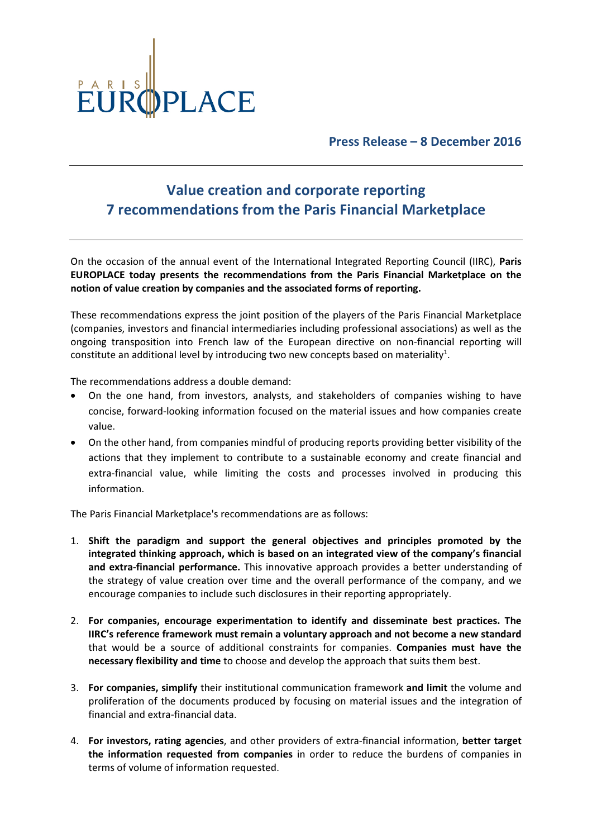

Press Release – 8 December 2016

## Value creation and corporate reporting 7 recommendations from the Paris Financial Marketplace

On the occasion of the annual event of the International Integrated Reporting Council (IIRC), Paris EUROPLACE today presents the recommendations from the Paris Financial Marketplace on the notion of value creation by companies and the associated forms of reporting.

These recommendations express the joint position of the players of the Paris Financial Marketplace (companies, investors and financial intermediaries including professional associations) as well as the ongoing transposition into French law of the European directive on non-financial reporting will constitute an additional level by introducing two new concepts based on materiality<sup>1</sup>.

The recommendations address a double demand:

- On the one hand, from investors, analysts, and stakeholders of companies wishing to have concise, forward-looking information focused on the material issues and how companies create value.
- On the other hand, from companies mindful of producing reports providing better visibility of the actions that they implement to contribute to a sustainable economy and create financial and extra-financial value, while limiting the costs and processes involved in producing this information.

The Paris Financial Marketplace's recommendations are as follows:

- 1. Shift the paradigm and support the general objectives and principles promoted by the integrated thinking approach, which is based on an integrated view of the company's financial and extra-financial performance. This innovative approach provides a better understanding of the strategy of value creation over time and the overall performance of the company, and we encourage companies to include such disclosures in their reporting appropriately.
- 2. For companies, encourage experimentation to identify and disseminate best practices. The IIRC's reference framework must remain a voluntary approach and not become a new standard that would be a source of additional constraints for companies. Companies must have the necessary flexibility and time to choose and develop the approach that suits them best.
- 3. For companies, simplify their institutional communication framework and limit the volume and proliferation of the documents produced by focusing on material issues and the integration of financial and extra-financial data.
- 4. For investors, rating agencies, and other providers of extra-financial information, better target the information requested from companies in order to reduce the burdens of companies in terms of volume of information requested.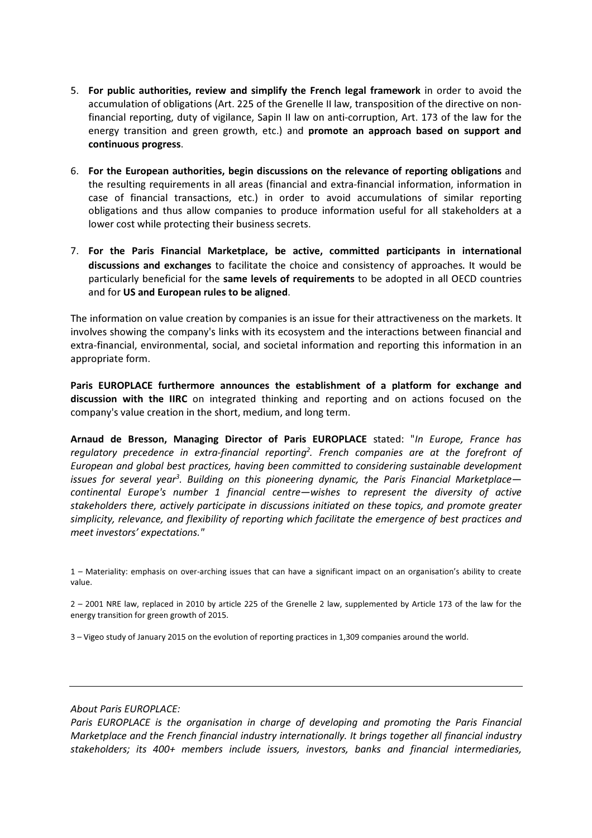- 5. For public authorities, review and simplify the French legal framework in order to avoid the accumulation of obligations (Art. 225 of the Grenelle II law, transposition of the directive on nonfinancial reporting, duty of vigilance, Sapin II law on anti-corruption, Art. 173 of the law for the energy transition and green growth, etc.) and **promote an approach based on support and** continuous progress.
- 6. For the European authorities, begin discussions on the relevance of reporting obligations and the resulting requirements in all areas (financial and extra-financial information, information in case of financial transactions, etc.) in order to avoid accumulations of similar reporting obligations and thus allow companies to produce information useful for all stakeholders at a lower cost while protecting their business secrets.
- 7. For the Paris Financial Marketplace, be active, committed participants in international discussions and exchanges to facilitate the choice and consistency of approaches. It would be particularly beneficial for the same levels of requirements to be adopted in all OECD countries and for US and European rules to be aligned.

The information on value creation by companies is an issue for their attractiveness on the markets. It involves showing the company's links with its ecosystem and the interactions between financial and extra-financial, environmental, social, and societal information and reporting this information in an appropriate form.

Paris EUROPLACE furthermore announces the establishment of a platform for exchange and discussion with the IIRC on integrated thinking and reporting and on actions focused on the company's value creation in the short, medium, and long term.

Arnaud de Bresson, Managing Director of Paris EUROPLACE stated: "In Europe, France has regulatory precedence in extra-financial reporting<sup>2</sup>. French companies are at the forefront of European and global best practices, having been committed to considering sustainable development issues for several year<sup>3</sup>. Building on this pioneering dynamic, the Paris Financial Marketplace continental Europe's number 1 financial centre—wishes to represent the diversity of active stakeholders there, actively participate in discussions initiated on these topics, and promote greater simplicity, relevance, and flexibility of reporting which facilitate the emergence of best practices and meet investors' expectations."

3 – Vigeo study of January 2015 on the evolution of reporting practices in 1,309 companies around the world.

## About Paris EUROPLACE:

Paris EUROPLACE is the organisation in charge of developing and promoting the Paris Financial Marketplace and the French financial industry internationally. It brings together all financial industry stakeholders; its 400+ members include issuers, investors, banks and financial intermediaries,

<sup>1 –</sup> Materiality: emphasis on over-arching issues that can have a significant impact on an organisation's ability to create value.

<sup>2 – 2001</sup> NRE law, replaced in 2010 by article 225 of the Grenelle 2 law, supplemented by Article 173 of the law for the energy transition for green growth of 2015.